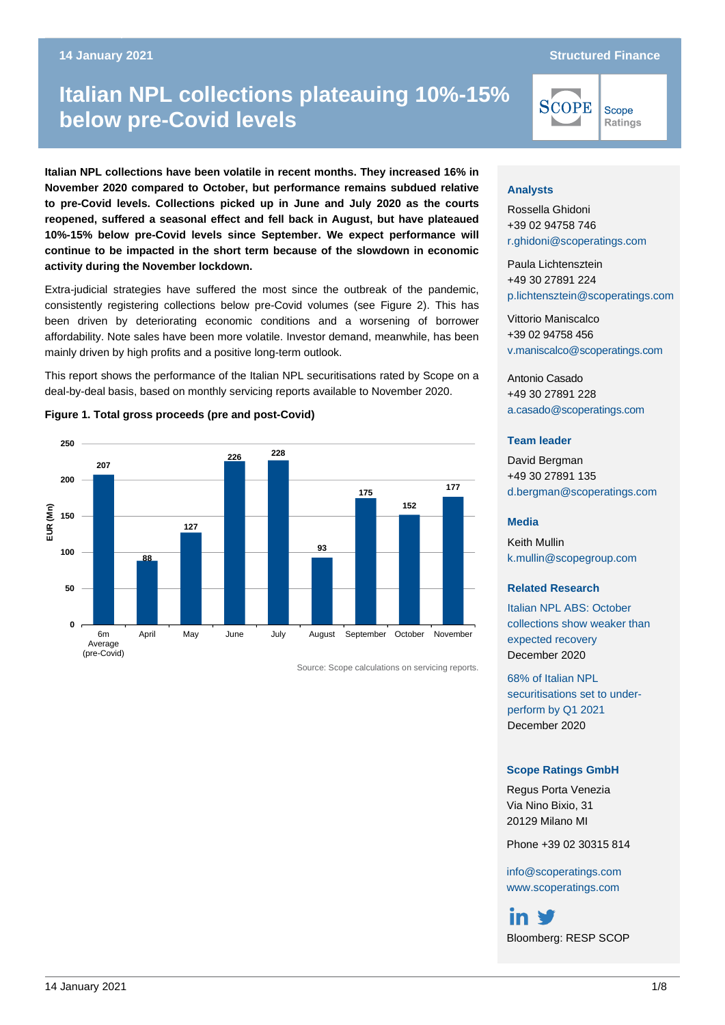#### Italian NPL collections plateau newspaper in the collections plateau newspaper in the covid of the covid of the<br>The collections plateau newspaper in the covid of the covid of the covid of the covid of the covid of the covi **14 January 2021 Structured Finance**

Scope Ratings

# **Italian NPL collections plateauing 10%-15% below pre-Covid levels**

**Italian NPL collections have been volatile in recent months. They increased 16% in November 2020 compared to October, but performance remains subdued relative to pre-Covid levels. Collections picked up in June and July 2020 as the courts reopened, suffered a seasonal effect and fell back in August, but have plateaued 10%-15% below pre-Covid levels since September. We expect performance will continue to be impacted in the short term because of the slowdown in economic activity during the November lockdown.**

Extra-judicial strategies have suffered the most since the outbreak of the pandemic, consistently registering collections below pre-Covid volumes (see Figure 2). This has been driven by deteriorating economic conditions and a worsening of borrower affordability. Note sales have been more volatile. Investor demand, meanwhile, has been mainly driven by high profits and a positive long-term outlook.

This report shows the performance of the Italian NPL securitisations rated by Scope on a deal-by-deal basis, based on monthly servicing reports available to November 2020.

#### **Figure 1. Total gross proceeds (pre and post-Covid)**



Source: Scope calculations on servicing reports.

#### **Analysts**

Rossella Ghidoni +39 02 94758 746 [r.ghidoni@scoperatings.com](mailto:r.ghidoni@scoperatings.com)

**SCOPE** 

Paula Lichtensztein +49 30 27891 224 [p.lichtensztein@scoperatings.com](mailto:p.lichtensztein@scoperatings.com)

Vittorio Maniscalco +39 02 94758 456 [v.maniscalco@scoperatings.com](mailto:v.maniscalco@scoperatings.com)

Antonio Casado +49 30 27891 228 [a.casado@scoperatings.com](mailto:a.casado@scoperatings.com)

#### **Team leader**

David Bergman +49 30 27891 135 [d.bergman@scoperatings.com](mailto:d.bergman@scoperatings.com)

#### **Media**

Keith Mullin [k.mullin@scopegroup.com](mailto:k.mullin@scopegroup.com)

#### **Related Research**

[Italian NPL ABS: October](https://www.scoperatings.com/ScopeRatingsApi/api/downloadstudy?id=b4168626-dcf6-4f97-9195-b25fd48a2b07)  [collections show](https://www.scoperatings.com/ScopeRatingsApi/api/downloadstudy?id=b4168626-dcf6-4f97-9195-b25fd48a2b07) weaker than [expected recovery](https://www.scoperatings.com/ScopeRatingsApi/api/downloadstudy?id=b4168626-dcf6-4f97-9195-b25fd48a2b07) [December](https://www.scoperatings.com/ScopeRatingsApi/api/downloadstudy?id=b4168626-dcf6-4f97-9195-b25fd48a2b07) 2020

[68% of Italian NPL](https://www.scoperatings.com/ScopeRatingsApi/api/downloadstudy?id=727d5b9a-6eb5-4f00-b6b7-cb309016bc5a)  [securitisations set to](https://www.scoperatings.com/ScopeRatingsApi/api/downloadstudy?id=727d5b9a-6eb5-4f00-b6b7-cb309016bc5a) under[perform by Q1 2021](https://www.scoperatings.com/ScopeRatingsApi/api/downloadstudy?id=727d5b9a-6eb5-4f00-b6b7-cb309016bc5a) December 2020

#### **Scope Ratings GmbH**

Regus Porta Venezia Via Nino Bixio, 31 20129 Milano MI

Phone +39 02 30315 814

[info@scoperatings.com](mailto:info@scoperatings.com) [www.scoperatings.com](https://www.scoperatings.com/)

in V Bloomberg: RESP SCOP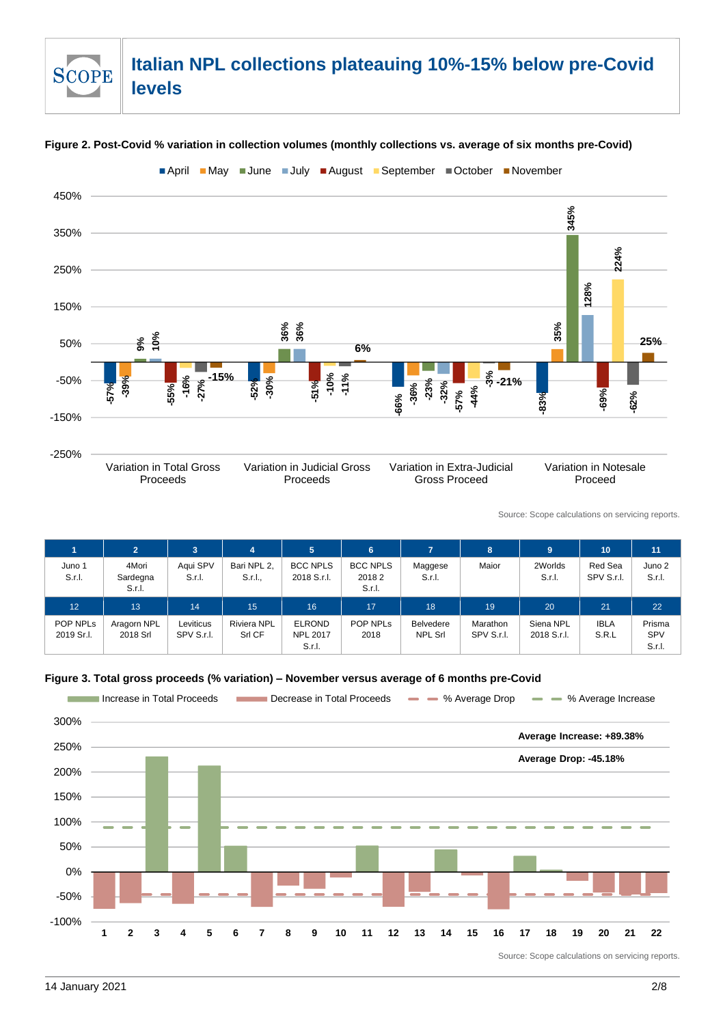# **Italian NPL collections plateauing 10%-15% below pre-Covid levels**

#### **Figure 2. Post-Covid % variation in collection volumes (monthly collections vs. average of six months pre-Covid)**

**April May June July August September October November** 



Source: Scope calculations on servicing reports.

|                                    | $\overline{2}$              | 3                       | 4                            | 5                                | 6                                  | 7                           | 8                             | 9                        | 10                    | 11               |
|------------------------------------|-----------------------------|-------------------------|------------------------------|----------------------------------|------------------------------------|-----------------------------|-------------------------------|--------------------------|-----------------------|------------------|
| Juno 1<br>S.r.I.                   | 4Mori<br>Sardegna<br>S.r.l. | Aqui SPV<br>S.r.l.      | Bari NPL 2.<br>S.r.l.,       | <b>BCC NPLS</b><br>2018 S.r.l.   | <b>BCC NPLS</b><br>20182<br>S.r.l. | Maggese<br>S.r.l.           | Maior                         | 2Worlds<br>S.r.l.        | Red Sea<br>SPV S.r.I. | Juno 2<br>S.r.I. |
| 12                                 | 13                          | 14                      | 15                           | 16                               | 17                                 | 18                          | 19                            | 20                       | 21                    | 22               |
| POP NPL <sub>s</sub><br>2019 Sr.I. | Aragorn NPL<br>2018 Srl     | Leviticus<br>SPV S.r.I. | <b>Riviera NPL</b><br>Srl CF | <b>ELROND</b><br><b>NPL 2017</b> | POP NPLS<br>2018                   | <b>Belvedere</b><br>NPL Srl | <b>Marathon</b><br>SPV S.r.I. | Siena NPL<br>2018 S.r.l. | <b>IBLA</b><br>S.R.L  | Prisma<br>SPV    |

**Figure 3. Total gross proceeds (% variation) – November versus average of 6 months pre-Covid**



**SCOPE**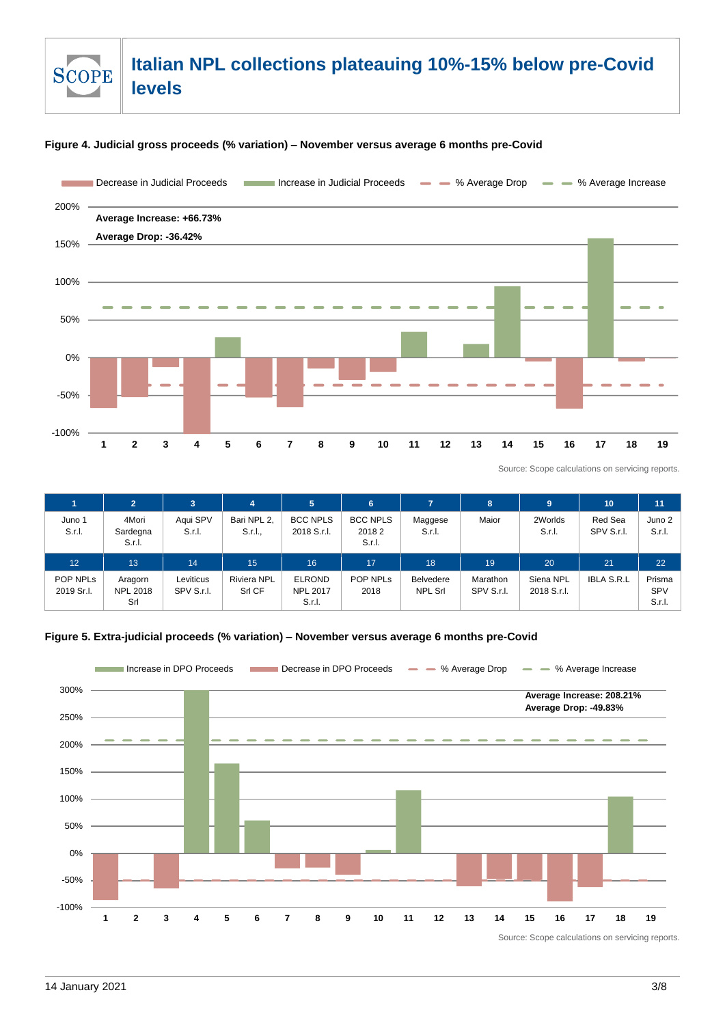### **Italian NPL collections plateauing 10%-15% below pre-Covid SCOPE levels**

#### **Figure 4. Judicial gross proceeds (% variation) – November versus average 6 months pre-Covid**



Source: Scope calculations on servicing reports.

|                  | $\overline{2}$              | 3                  | 4                      | 5                              | 6                                  |                   | 8     | 9                 | 10                    | 11               |
|------------------|-----------------------------|--------------------|------------------------|--------------------------------|------------------------------------|-------------------|-------|-------------------|-----------------------|------------------|
| Juno 1<br>S.r.I. | 4Mori<br>Sardegna<br>S.r.I. | Aqui SPV<br>S.r.I. | Bari NPL 2.<br>S.r.l., | <b>BCC NPLS</b><br>2018 S.r.l. | <b>BCC NPLS</b><br>20182<br>S.r.l. | Maggese<br>S.r.I. | Maior | 2Worlds<br>S.r.l. | Red Sea<br>SPV S.r.I. | Juno 2<br>S.r.l. |
| 12               | 13                          | 14                 |                        |                                |                                    |                   |       |                   |                       |                  |
|                  |                             |                    | 15                     | 16                             | 17                                 | 18                | 19    | 20                | 21                    | 22               |

#### **Figure 5. Extra-judicial proceeds (% variation) – November versus average 6 months pre-Covid**

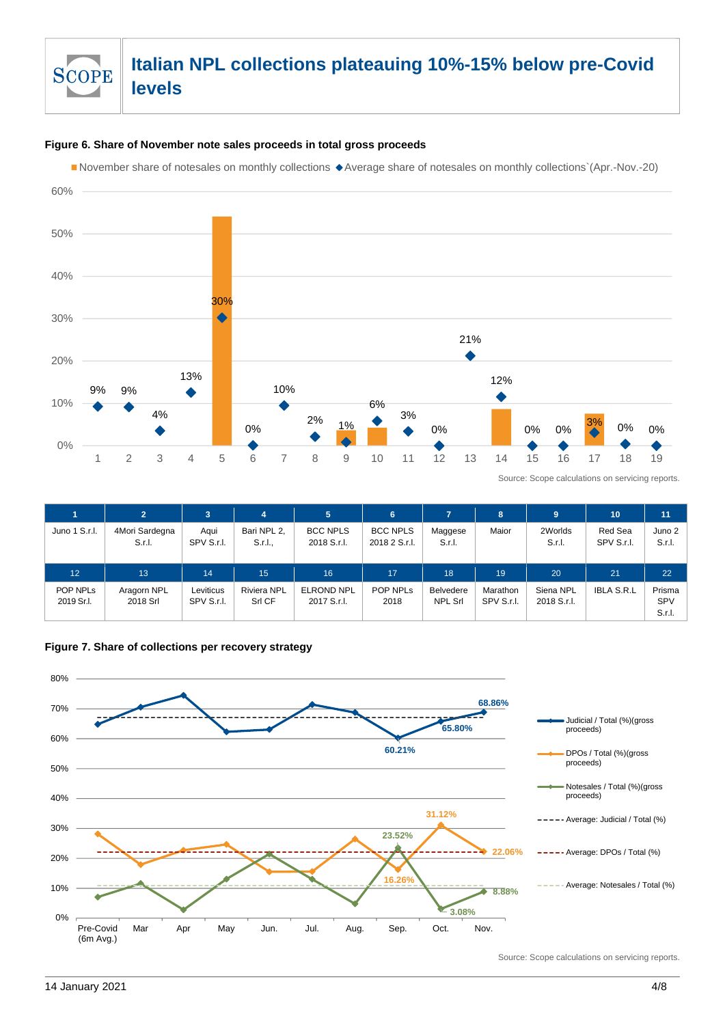

#### **Figure 6. Share of November note sales proceeds in total gross proceeds**

November share of notesales on monthly collections Average share of notesales on monthly collections`(Apr.-Nov.-20)



Source: Scope calculations on servicing reports.

|                                    | $\overline{2}$           | 3                       | 4                            | 5.                               | 6                                |                                    | 8                      | 9                        | 10                    | 11                      |
|------------------------------------|--------------------------|-------------------------|------------------------------|----------------------------------|----------------------------------|------------------------------------|------------------------|--------------------------|-----------------------|-------------------------|
| Juno 1 S.r.l.                      | 4Mori Sardegna<br>S.r.l. | Aqui<br>SPV S.r.I.      | Bari NPL 2,<br>S.r.l.        | <b>BCC NPLS</b><br>2018 S.r.l.   | <b>BCC NPLS</b><br>2018 2 S.r.l. | Maggese<br>S.r.I.                  | Maior                  | 2Worlds<br>S.r.I.        | Red Sea<br>SPV S.r.I. | Juno 2<br>S.r.l.        |
| 12                                 | 13                       | 14                      | 15                           | 16                               | 17                               | 18                                 | 19                     | 20                       | 21                    | 22                      |
| POP NPL <sub>s</sub><br>2019 Sr.I. | Aragorn NPL<br>2018 Srl  | Leviticus<br>SPV S.r.l. | <b>Riviera NPL</b><br>Srl CF | <b>ELROND NPL</b><br>2017 S.r.l. | POP NPLs<br>2018                 | <b>Belvedere</b><br><b>NPL Srl</b> | Marathon<br>SPV S.r.I. | Siena NPL<br>2018 S.r.l. | <b>IBLA S.R.L</b>     | Prisma<br>SPV<br>S.r.l. |



**Figure 7. Share of collections per recovery strategy s**

Source: Scope calculations on servicing reports.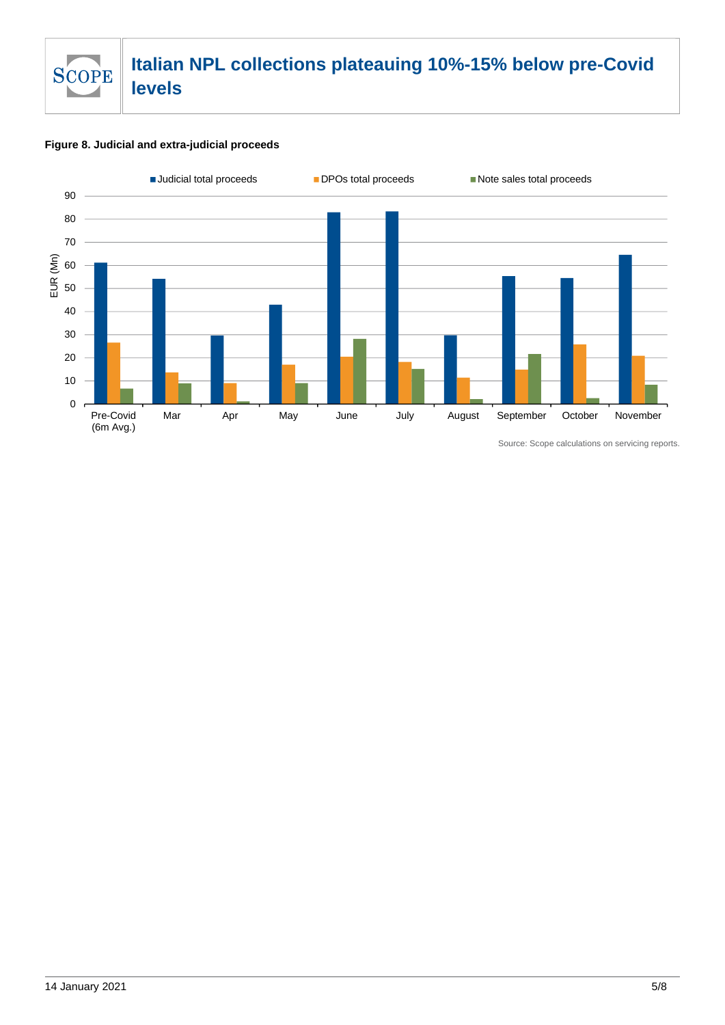

#### **Figure 8. Judicial and extra-judicial proceeds**



Source: Scope calculations on servicing reports.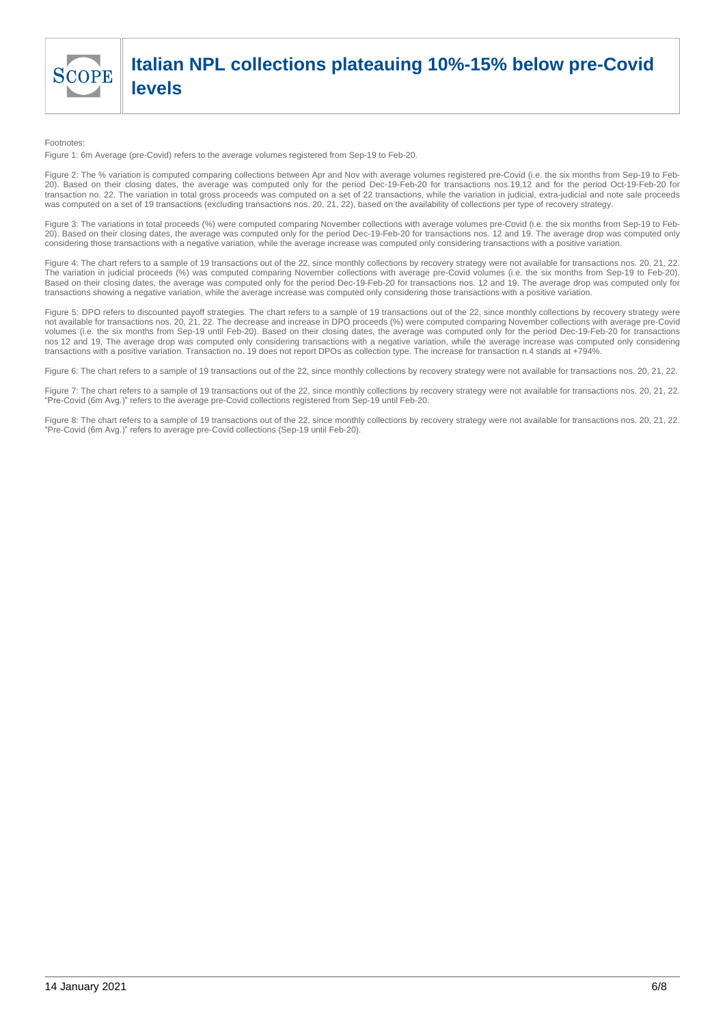

## **Italian NPL collections plateauing 10%-15% below pre-Covid levels**

#### Footnotes:

Figure 1: 6m Average (pre-Covid) refers to the average volumes registered from Sep-19 to Feb-20.

Figure 2: The % variation is computed comparing collections between Apr and Nov with average volumes registered pre-Covid (i.e. the six months from Sep-19 to Feb-20). Based on their closing dates, the average was computed only for the period Dec-19-Feb-20 for transactions nos.19,12 and for the period Oct-19-Feb-20 for transaction no. 22. The variation in total gross proceeds was computed on a set of 22 transactions, while the variation in judicial, extra-judicial and note sale proceeds was computed on a set of 19 transactions (excluding transactions nos. 20, 21, 22), based on the availability of collections per type of recovery strategy.

Figure 3: The variations in total proceeds (%) were computed comparing November collections with average volumes pre-Covid (i.e. the six months from Sep-19 to Feb-20). Based on their closing dates, the average was computed only for the period Dec-19-Feb-20 for transactions nos. 12 and 19. The average drop was computed only considering those transactions with a negative variation, while the average increase was computed only considering transactions with a positive variation.

Figure 4: The chart refers to a sample of 19 transactions out of the 22, since monthly collections by recovery strategy were not available for transactions nos. 20, 21, 22. The variation in judicial proceeds (%) was computed comparing November collections with average pre-Covid volumes (i.e. the six months from Sep-19 to Feb-20). Based on their closing dates, the average was computed only for the period Dec-19-Feb-20 for transactions nos. 12 and 19. The average drop was computed only for transactions showing a negative variation, while the average increase was computed only considering those transactions with a positive variation.

Figure 5: DPO refers to discounted payoff strategies. The chart refers to a sample of 19 transactions out of the 22, since monthly collections by recovery strategy were not available for transactions nos. 20, 21, 22. The decrease and increase in DPO proceeds (%) were computed comparing November collections with average pre-Covid volumes (i.e. the six months from Sep-19 until Feb-20). Based on their closing dates, the average was computed only for the period Dec-19-Feb-20 for transactions nos 12 and 19, The average drop was computed only considering transactions with a negative variation, while the average increase was computed only considering transactions with a positive variation. Transaction no. 19 does not report DPOs as collection type. The increase for transaction n.4 stands at +794%.

Figure 6: The chart refers to a sample of 19 transactions out of the 22, since monthly collections by recovery strategy were not available for transactions nos. 20, 21, 22.

Figure 7: The chart refers to a sample of 19 transactions out of the 22, since monthly collections by recovery strategy were not available for transactions nos. 20, 21, 22. "Pre-Covid (6m Avg.)" refers to the average pre-Covid collections registered from Sep-19 until Feb-20.

Figure 8: The chart refers to a sample of 19 transactions out of the 22, since monthly collections by recovery strategy were not available for transactions nos. 20, 21, 22. "Pre-Covid (6m Avg.)" refers to average pre-Covid collections (Sep-19 until Feb-20).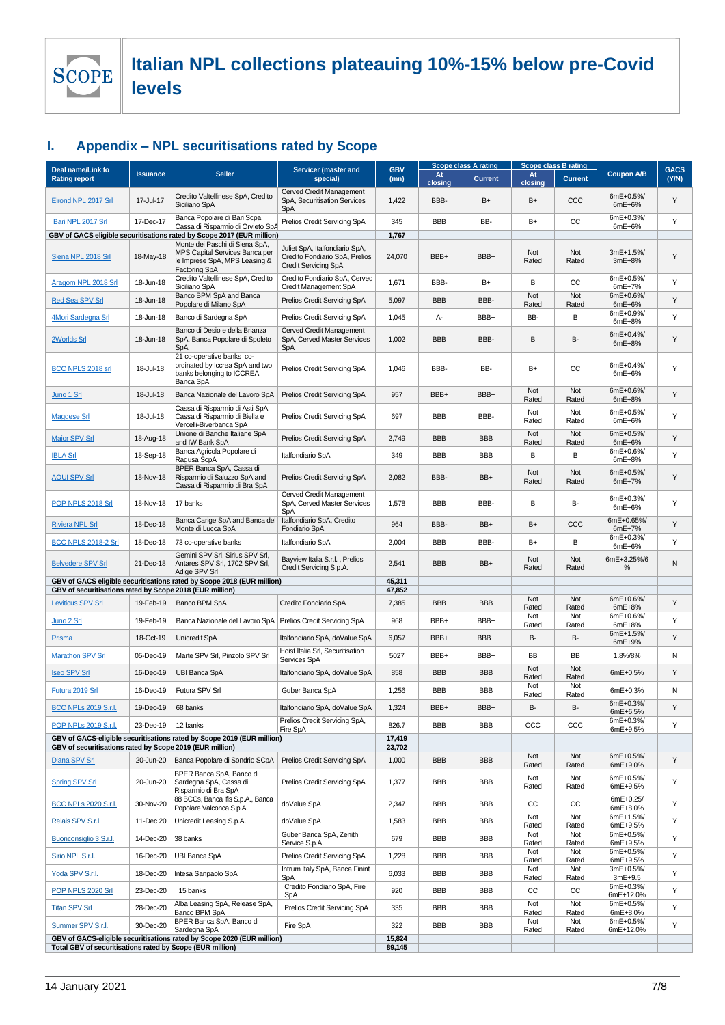

### **I. Appendix – NPL securitisations rated by Scope**

|                                                           |                 |                                                                                                                           |                                                                                                 |                    | <b>Scope class A rating</b> |                | Scope class B rating |                |                        |                      |  |
|-----------------------------------------------------------|-----------------|---------------------------------------------------------------------------------------------------------------------------|-------------------------------------------------------------------------------------------------|--------------------|-----------------------------|----------------|----------------------|----------------|------------------------|----------------------|--|
| Deal name/Link to<br><b>Rating report</b>                 | <b>Issuance</b> | <b>Seller</b>                                                                                                             | Servicer (master and<br>special)                                                                | <b>GBV</b><br>(mn) | At<br>closing               | <b>Current</b> | At<br>closing        | <b>Current</b> | <b>Coupon A/B</b>      | <b>GACS</b><br>(Y/N) |  |
| Elrond NPL 2017 Srl                                       | 17-Jul-17       | Credito Valtellinese SpA, Credito<br>Siciliano SpA                                                                        | Cerved Credit Management<br>SpA, Securitisation Services<br><b>SpA</b>                          | 1,422              | BBB-                        | B+             | B+                   | CCC            | 6mE+0.5%/<br>$6mE+6%$  | Y                    |  |
| Bari NPL 2017 Srl                                         | 17-Dec-17       | Banca Popolare di Bari Scpa,<br>Cassa di Risparmio di Orvieto SpA                                                         | Prelios Credit Servicing SpA                                                                    | 345                | <b>BBB</b>                  | BB-            | B+                   | СC             | 6mE+0.3%/<br>6mE+6%    | Υ                    |  |
|                                                           |                 | GBV of GACS eligible securitisations rated by Scope 2017 (EUR million)                                                    |                                                                                                 | 1,767              |                             |                |                      |                |                        |                      |  |
| Siena NPL 2018 Srl                                        | 18-May-18       | Monte dei Paschi di Siena SpA,<br>MPS Capital Services Banca per<br>le Imprese SpA, MPS Leasing &<br><b>Factoring SpA</b> | Juliet SpA, Italfondiario SpA,<br>Credito Fondiario SpA, Prelios<br><b>Credit Servicing SpA</b> | 24,070             | BBB+                        | BBB+           | Not<br>Rated         | Not<br>Rated   | 3mE+1.5%<br>3mE+8%     | Y                    |  |
| Aragorn NPL 2018 Srl                                      | 18-Jun-18       | Credito Valtellinese SpA, Credito<br>Siciliano SpA                                                                        | Credito Fondiario SpA, Cerved<br>Credit Management SpA                                          | 1,671              | BBB-                        | B+             | В                    | СC             | 6mE+0.5%/<br>$6mE+7%$  | Y                    |  |
| Red Sea SPV Srl                                           | 18-Jun-18       | Banco BPM SpA and Banca<br>Popolare di Milano SpA                                                                         | Prelios Credit Servicing SpA                                                                    | 5,097              | <b>BBB</b>                  | BBB-           | Not<br>Rated         | Not<br>Rated   | 6mE+0.6%<br>$6mE+6%$   | Υ                    |  |
| 4Mori Sardegna Srl                                        | 18-Jun-18       | Banco di Sardegna SpA                                                                                                     | Prelios Credit Servicing SpA                                                                    | 1,045              | А-                          | BBB+           | BB-                  | B              | 6mE+0.9%/<br>6mE+8%    | Y                    |  |
| 2Worlds Srl                                               | 18-Jun-18       | Banco di Desio e della Brianza<br>SpA, Banca Popolare di Spoleto<br>SpA                                                   | Cerved Credit Management<br>SpA, Cerved Master Services<br>SpA                                  | 1,002              | <b>BBB</b>                  | BBB-           | В                    | B-             | 6mE+0.4%<br>6mE+8%     | Υ                    |  |
| BCC NPLS 2018 srl                                         | 18-Jul-18       | 21 co-operative banks co-<br>ordinated by Iccrea SpA and two<br>banks belonging to ICCREA<br>Banca SpA                    | Prelios Credit Servicing SpA                                                                    | 1,046              | BBB-                        | BB-            | B+                   | cc             | 6mE+0.4%<br>$6mE+6%$   | Υ                    |  |
| Juno 1 Srl                                                | 18-Jul-18       | Banca Nazionale del Lavoro SpA                                                                                            | Prelios Credit Servicing SpA                                                                    | 957                | BBB+                        | BBB+           | Not<br>Rated         | Not<br>Rated   | 6mE+0.6%/<br>$6mE+8%$  | Υ                    |  |
| <b>Maggese Srl</b>                                        | 18-Jul-18       | Cassa di Risparmio di Asti SpA,<br>Cassa di Risparmio di Biella e<br>Vercelli-Biverbanca SpA                              | Prelios Credit Servicing SpA                                                                    | 697                | <b>BBB</b>                  | BBB-           | Not<br>Rated         | Not<br>Rated   | 6mE+0.5%/<br>6mE+6%    | Y                    |  |
| <b>Maior SPV Srl</b>                                      | 18-Aug-18       | Unione di Banche Italiane SpA<br>and IW Bank SpA                                                                          | Prelios Credit Servicing SpA                                                                    | 2,749              | <b>BBB</b>                  | <b>BBB</b>     | Not<br>Rated         | Not<br>Rated   | 6mE+0.5%/<br>6mE+6%    | Υ                    |  |
| <b>IBLA Srl</b>                                           | 18-Sep-18       | Banca Agricola Popolare di<br>Ragusa ScpA                                                                                 | Italfondiario SpA                                                                               | 349                | <b>BBB</b>                  | <b>BBB</b>     | B                    | B              | 6mE+0.6%<br>6mE+8%     | Y                    |  |
| <b>AQUI SPV Srl</b>                                       | 18-Nov-18       | BPER Banca SpA, Cassa di<br>Risparmio di Saluzzo SpA and<br>Cassa di Risparmio di Bra SpA                                 | Prelios Credit Servicing SpA                                                                    | 2,082              | BBB-                        | BB+            | Not<br>Rated         | Not<br>Rated   | 6mE+0.5%/<br>6mE+7%    | Υ                    |  |
| POP NPLS 2018 Srl                                         | 18-Nov-18       | 17 banks                                                                                                                  | Cerved Credit Management<br>SpA, Cerved Master Services<br>SpA                                  | 1,578              | <b>BBB</b>                  | BBB-           | B                    | B-             | 6mE+0.3%/<br>6mE+6%    | Y                    |  |
| <b>Riviera NPL Srl</b>                                    | 18-Dec-18       | Banca Carige SpA and Banca del<br>Monte di Lucca SpA                                                                      | Italfondiario SpA, Credito<br>Fondiario SpA                                                     | 964                | BBB-                        | BB+            | B+                   | CCC            | 6mE+0.65%<br>$6mE+7%$  | Υ                    |  |
| <b>BCC NPLS 2018-2 Srl</b>                                | 18-Dec-18       | 73 co-operative banks                                                                                                     | Italfondiario SpA                                                                               | 2,004              | <b>BBB</b>                  | BBB-           | B+                   | В              | 6mE+0.3%/<br>6mE+6%    | Υ                    |  |
| <b>Belvedere SPV Srl</b>                                  | 21-Dec-18       | Gemini SPV Srl, Sirius SPV Srl,<br>Antares SPV Srl, 1702 SPV Srl,<br>Adige SPV Srl                                        | Bayview Italia S.r.l., Prelios<br>Credit Servicing S.p.A.                                       | 2,541              | <b>BBB</b>                  | BB+            | Not<br>Rated         | Not<br>Rated   | 6mE+3.25%/6<br>%       | Ν                    |  |
| GBV of securitisations rated by Scope 2018 (EUR million)  |                 | GBV of GACS eligible securitisations rated by Scope 2018 (EUR million)                                                    |                                                                                                 | 45,311<br>47,852   |                             |                |                      |                |                        |                      |  |
| <b>Leviticus SPV Srl</b>                                  | 19-Feb-19       | Banco BPM SpA                                                                                                             | Credito Fondiario SpA                                                                           | 7,385              | <b>BBB</b>                  | <b>BBB</b>     | Not                  | Not            | 6mE+0.6%               | Y                    |  |
| Juno 2 Srl                                                | 19-Feb-19       | Banca Nazionale del Lavoro SpA                                                                                            | Prelios Credit Servicing SpA                                                                    | 968                | BBB+                        | BBB+           | Rated<br>Not         | Rated<br>Not   | 6mE+8%<br>6mE+0.6%     | Υ                    |  |
| <b>Prisma</b>                                             | 18-Oct-19       | Unicredit SpA                                                                                                             | Italfondiario SpA, doValue SpA                                                                  | 6,057              | BBB+                        | BBB+           | Rated<br>В-          | Rated<br>B-    | 6mE+8%<br>6mE+1.5%     | Υ                    |  |
| <b>Marathon SPV Srl</b>                                   | 05-Dec-19       | Marte SPV Srl, Pinzolo SPV Srl                                                                                            | Hoist Italia Srl, Securitisation                                                                | 5027               | BBB+                        | BBB+           | BB                   | BB             | 6mE+9%<br>1.8%/8%      | Ν                    |  |
|                                                           | 16-Dec-19       |                                                                                                                           | Services SpA                                                                                    | 858                | <b>BBB</b>                  | <b>BBB</b>     | Not                  | Not            | 6mE+0.5%               | Y                    |  |
| <b>Iseo SPV Srl</b>                                       |                 | <b>UBI Banca SpA</b>                                                                                                      | Italfondiario SpA, doValue SpA                                                                  |                    |                             |                | Rated<br>Not         | Rated<br>Not   |                        |                      |  |
| Futura 2019 Srl                                           | 16-Dec-19       | Futura SPV Srl                                                                                                            | Guber Banca SpA                                                                                 | 1,256              | <b>BBB</b>                  | <b>BBB</b>     | Rated                | Rated          | 6mE+0.3%<br>6mE+0.3%/  | Ν                    |  |
| <b>BCC NPLs 2019 S.r.l.</b><br>POP NPLs 2019 S.r.l.       | 19-Dec-19       | 68 banks<br>12 banks                                                                                                      | Italfondiario SpA, doValue SpA<br>Prelios Credit Servicing SpA,                                 | 1,324<br>826.7     | BBB+<br><b>BBB</b>          | BBB+           | в-                   | B-<br>CCC      | 6mE+6.5%<br>6mE+0.3%/  | Y<br>Υ               |  |
|                                                           | 23-Dec-19       |                                                                                                                           | Fire SpA                                                                                        |                    |                             | BBB            | CCC                  |                | 6mE+9.5%               |                      |  |
| GBV of securitisations rated by Scope 2019 (EUR million)  |                 | GBV of GACS-eligible securitisations rated by Scope 2019 (EUR million)                                                    |                                                                                                 | 17,419<br>23,702   |                             |                |                      |                |                        |                      |  |
| Diana SPV Srl                                             | 20-Jun-20       | Banca Popolare di Sondrio SCpA                                                                                            | Prelios Credit Servicing SpA                                                                    | 1,000              | <b>BBB</b>                  | <b>BBB</b>     | Not<br>Rated         | Not<br>Rated   | 6mE+0.5%<br>6mE+9.0%   | Y                    |  |
| Spring SPV Srl                                            | 20-Jun-20       | BPER Banca SpA, Banco di<br>Sardegna SpA, Cassa di<br>Risparmio di Bra SpA                                                | Prelios Credit Servicing SpA                                                                    | 1,377              | <b>BBB</b>                  | BBB            | Not<br>Rated         | Not<br>Rated   | 6mE+0.5%/<br>6mE+9.5%  | Υ                    |  |
| <b>BCC NPLs 2020 S.r.l.</b>                               | 30-Nov-20       | 88 BCCs, Banca Ifis S.p.A., Banca<br>Popolare Valconca S.p.A.                                                             | doValue SpA                                                                                     | 2,347              | <b>BBB</b>                  | <b>BBB</b>     | CC                   | СC             | 6mE+0.25/<br>6mE+8.0%  | Υ                    |  |
| Relais SPV S.r.l.                                         | 11-Dec 20       | Unicredit Leasing S.p.A.                                                                                                  | doValue SpA                                                                                     | 1,583              | <b>BBB</b>                  | <b>BBB</b>     | Not<br>Rated         | Not<br>Rated   | 6mE+1.5%/<br>6mE+9.5%  | Υ                    |  |
| Buonconsiglio 3 S.r.l.                                    | 14-Dec-20       | 38 banks                                                                                                                  | Guber Banca SpA, Zenith<br>Service S.p.A.                                                       | 679                | <b>BBB</b>                  | <b>BBB</b>     | Not<br>Rated         | Not<br>Rated   | 6mE+0.5%/<br>6mE+9.5%  | Y                    |  |
| Sirio NPL S.r.l.                                          | 16-Dec-20       | <b>UBI Banca SpA</b>                                                                                                      | Prelios Credit Servicing SpA                                                                    | 1,228              | <b>BBB</b>                  | <b>BBB</b>     | Not<br>Rated         | Not<br>Rated   | 6mE+0.5%/<br>6mE+9.5%  | Υ                    |  |
| Yoda SPV S.r.l.                                           | 18-Dec-20       | Intesa Sanpaolo SpA                                                                                                       | Intrum Italy SpA, Banca Finint<br>SpA                                                           | 6,033              | <b>BBB</b>                  | BBB            | Not<br>Rated         | Not<br>Rated   | 3mE+0.5%/<br>3mE+9.5   | Υ                    |  |
| POP NPLS 2020 Srl                                         | 23-Dec-20       | 15 banks                                                                                                                  | Credito Fondiario SpA, Fire<br>SpA                                                              | 920                | <b>BBB</b>                  | <b>BBB</b>     | CC                   | CC             | 6mE+0.3%/<br>6mE+12.0% | Υ                    |  |
| <b>Titan SPV Srl</b>                                      | 28-Dec-20       | Alba Leasing SpA, Release SpA,<br>Banco BPM SpA                                                                           | Prelios Credit Servicing SpA                                                                    | 335                | <b>BBB</b>                  | <b>BBB</b>     | Not<br>Rated         | Not<br>Rated   | 6mE+0.5%/<br>6mE+8.0%  | Υ                    |  |
| Summer SPV S.r.l.                                         | 30-Dec-20       | BPER Banca SpA, Banco di<br>Sardegna SpA                                                                                  | Fire SpA                                                                                        | 322                | <b>BBB</b>                  | <b>BBB</b>     | Not<br>Rated         | Not<br>Rated   | 6mE+0.5%/<br>6mE+12.0% | Y                    |  |
|                                                           |                 | GBV of GACS-eligible securitisations rated by Scope 2020 (EUR million)                                                    |                                                                                                 | 15,824             |                             |                |                      |                |                        |                      |  |
| Total GBV of securitisations rated by Scope (EUR million) |                 |                                                                                                                           |                                                                                                 | 89,145             |                             |                |                      |                |                        |                      |  |